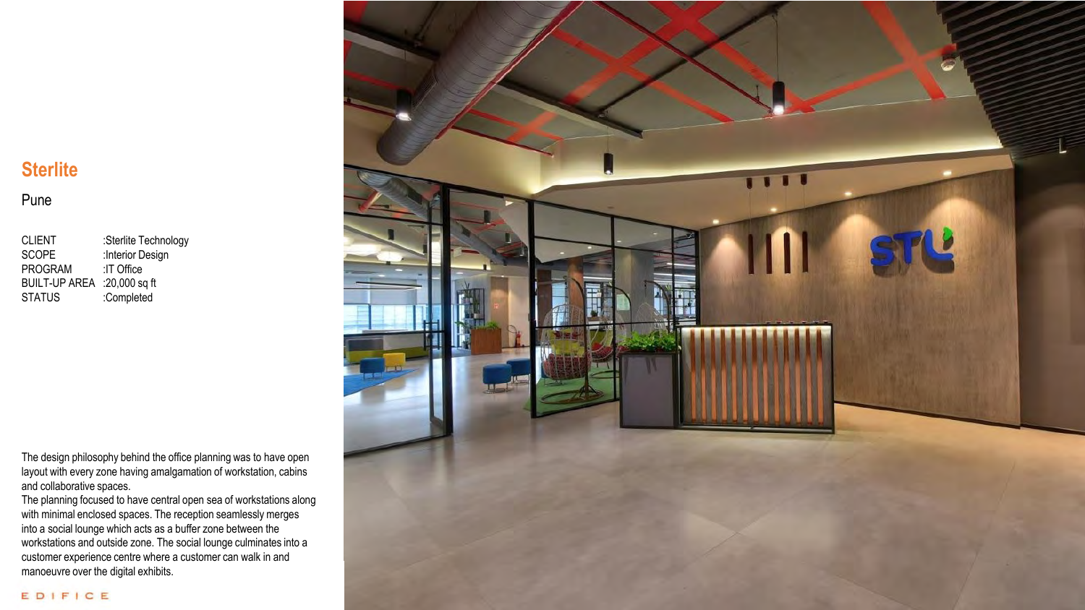## **Sterlite**

Pune

CLIENT :Sterlite Technology<br>SCOPE :Interior Design : Interior Design PROGRAM :IT Office BUILT-UP AREA : 20,000 sq ft<br>STATUS :Completed :Completed

The design philosophy behind the office planning was to have open layout with every zone having amalgamation of workstation, cabins and collaborative spaces.

The planning focused to have central open sea of workstations along with minimal enclosed spaces. The reception seamlessly merges into a social lounge which acts as a buffer zone between the workstations and outside zone. The social lounge culminates into a customer experience centre where a customer can walk in and manoeuvre over the digital exhibits.

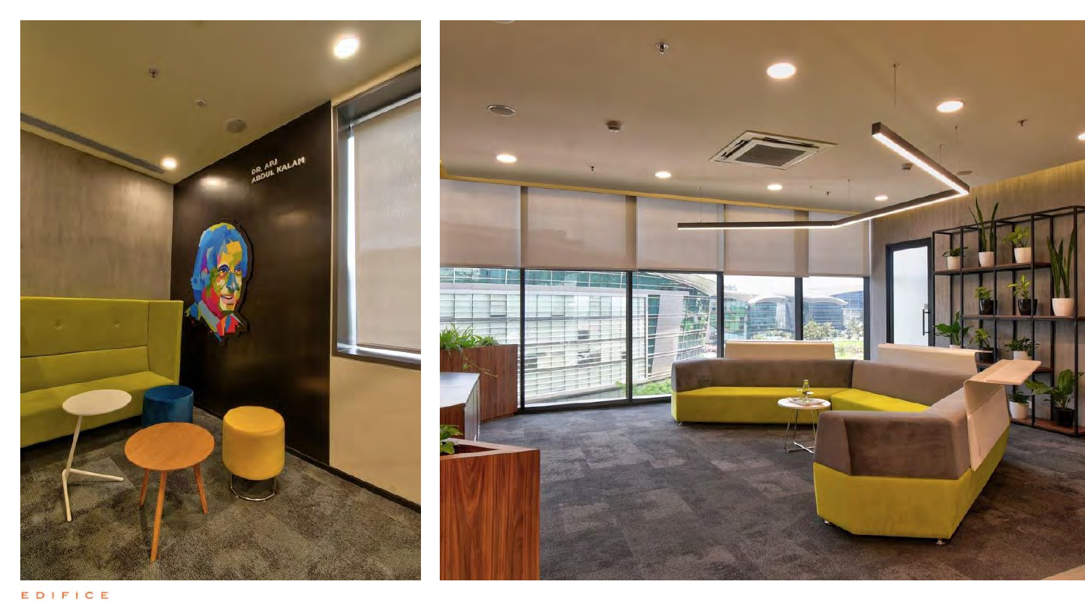

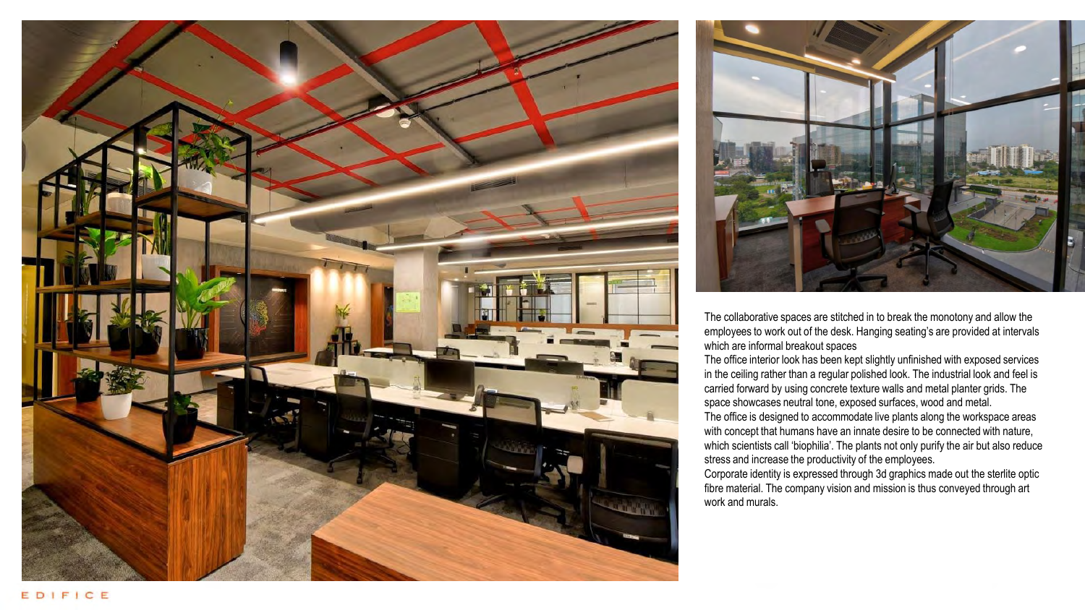



The collaborative spaces are stitched in to break the monotony and allow the employees to work out of the desk. Hanging seating's are provided at intervals which are informal breakout spaces

The office interior look has been kept slightly unfinished with exposed services in the ceiling rather than a regular polished look. The industrial look and feel is carried forward by using concrete texture walls and metal planter grids. The space showcases neutral tone, exposed surfaces, wood and metal. The office is designed to accommodate live plants along the workspace areas with concept that humans have an innate desire to be connected with nature, which scientists call 'biophilia'. The plants not only purify the air but also reduce stress and increase the productivity of the employees.

Corporate identity is expressed through 3d graphics made out the sterlite optic fibre material. The company vision and mission is thus conveyed through art work and murals.